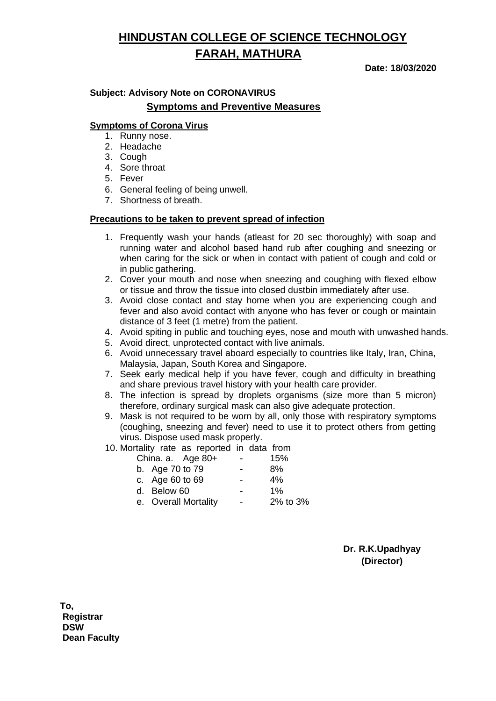# **HINDUSTAN COLLEGE OF SCIENCE TECHNOLOGY FARAH, MATHURA**

**Date: 18/03/2020**

### **Subject: Advisory Note on CORONAVIRUS Symptoms and Preventive Measures**

#### **Symptoms of Corona Virus**

- 1. Runny nose.
- 2. Headache
- 3. Cough
- 4. Sore throat
- 5. Fever
- 6. General feeling of being unwell.
- 7. Shortness of breath.

#### **Precautions to be taken to prevent spread of infection**

- 1. Frequently wash your hands (atleast for 20 sec thoroughly) with soap and running water and alcohol based hand rub after coughing and sneezing or when caring for the sick or when in contact with patient of cough and cold or in public gathering.
- 2. Cover your mouth and nose when sneezing and coughing with flexed elbow or tissue and throw the tissue into closed dustbin immediately after use.
- 3. Avoid close contact and stay home when you are experiencing cough and fever and also avoid contact with anyone who has fever or cough or maintain distance of 3 feet (1 metre) from the patient.
- 4. Avoid spiting in public and touching eyes, nose and mouth with unwashed hands.
- 5. Avoid direct, unprotected contact with live animals.
- 6. Avoid unnecessary travel aboard especially to countries like Italy, Iran, China, Malaysia, Japan, South Korea and Singapore.
- 7. Seek early medical help if you have fever, cough and difficulty in breathing and share previous travel history with your health care provider.
- 8. The infection is spread by droplets organisms (size more than 5 micron) therefore, ordinary surgical mask can also give adequate protection.
- 9. Mask is not required to be worn by all, only those with respiratory symptoms (coughing, sneezing and fever) need to use it to protect others from getting virus. Dispose used mask properly.
- 10. Mortality rate as reported in data from

| China. a. Age 80+    | - | 15%      |
|----------------------|---|----------|
| b. Age 70 to 79      |   | 8%       |
| c. Age 60 to 69      |   | 4%       |
| d. Below 60          | - | 1%       |
| e. Overall Mortality | - | 2% to 3% |
|                      |   |          |

**Dr. R.K.Upadhyay (Director)**

**To, Registrar DSW Dean Faculty**